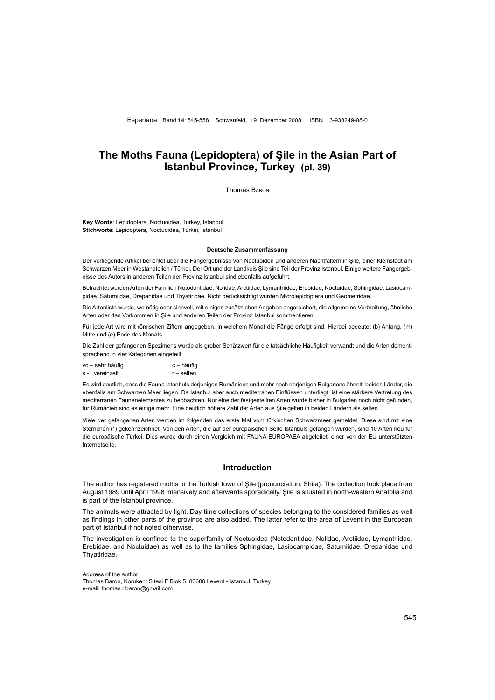# **The Moths Fauna (Lepidoptera) of Şile in the Asian Part of Istanbul Province, Turkey (pl. 39)**

Thomas Baron

**Key Words**: Lepidoptera, Noctuoidea, Turkey, Istanbul **Stichworte**: Lepidoptera, Noctuoidea, Türkei, Istanbul

### **Deutsche Zusammenfassung**

Der vorliegende Artikel berichtet über die Fangergebnisse von Noctuoiden und anderen Nachtfaltern in Şile, einer Kleinstadt am Schwarzen Meer in Westanatolien / Türkei. Der Ort und der Landkeis Şile sind Teil der Provinz Istanbul. Einige weitere Fangergebnisse des Autors in anderen Teilen der Provinz Istanbul sind ebenfalls aufgeführt.

Betrachtet wurden Arten der Familien Notodontidae, Nolidae, Arctiidae, Lymantriidae, Erebidae, Noctuidae, Sphingidae, Lasiocampidae, Saturniidae, Drepanidae und Thyatiridae. Nicht berücksichtigt wurden Microlepidoptera und Geometridae.

Die Artenliste wurde, wo nötig oder sinnvoll, mit einigen zusätzlichen Angaben angereichert, die allgemeine Verbreitung, ähnliche Arten oder das Vorkommen in Şile und anderen Teilen der Provinz Istanbul kommentieren.

Für jede Art wird mit römischen Ziffern angegeben, in welchem Monat die Fänge erfolgt sind. Hierbei bedeutet (b) Anfang, (m) Mitte und (e) Ende des Monats.

Die Zahl der gefangenen Spezimens wurde als grober Schätzwert für die tatsächliche Häufigkeit verwandt und die Arten dementsprechend in vier Kategorien eingeteilt:

vc – sehr häufig c – häufig s - vereinzelt r – selten

Es wird deutlich, dass die Fauna Istanbuls derjenigen Rumäniens und mehr noch derjenigen Bulgariens ähnelt, beides Länder, die ebenfalls am Schwarzen Meer liegen. Da Istanbul aber auch mediterranen Einflüssen unterliegt, ist eine stärkere Vertretung des mediterranen Faunenelementes zu beobachten. Nur eine der festgestellten Arten wurde bisher in Bulgarien noch nicht gefunden, für Rumänien sind es einige mehr. Eine deutlich höhere Zahl der Arten aus Şile gelten in beiden Ländern als selten.

Viele der gefangenen Arten werden im folgenden das erste Mal vom türkischen Schwarzmeer gemeldet. Diese sind mit eine Sternchen (\*) gekennzeichnet. Von den Arten, die auf der europäischen Seite Istanbuls gefangen wurden, sind 10 Arten neu für die europäische Türkei. Dies wurde durch einen Vergleich mit FAUNA EUROPAEA abgeleitet, einer von der EU unterstützten Internetseite.

## **Introduction**

The author has registered moths in the Turkish town of Şile (pronunciation: Shile). The collection took place from August 1989 until April 1998 intensively and afterwards sporadically. Şile is situated in north-western Anatolia and is part of the Istanbul province.

The animals were attracted by light. Day time collections of species belonging to the considered families as well as findings in other parts of the province are also added. The latter refer to the area of Levent in the European part of Istanbul if not noted otherwise.

The investigation is confined to the superfamily of Noctuoidea (Notodontidae, Nolidae, Arctiidae, Lymantriidae, Erebidae, and Noctuidae) as well as to the families Sphingidae, Lasiocampidae, Saturniidae, Drepanidae und Thyatiridae.

Address of the author:

Thomas Baron, Korukent Sitesi F Blok 5, 80600 Levent - Istanbul, Turkey e-mail: thomas.r.baron@gmail.com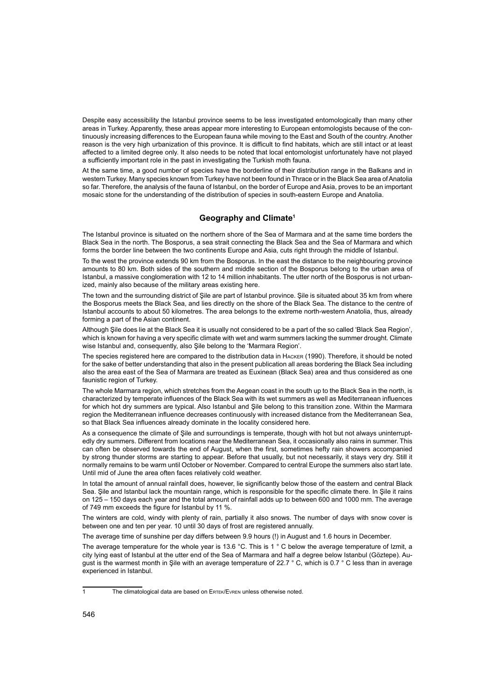Despite easy accessibility the Istanbul province seems to be less investigated entomologically than many other areas in Turkey. Apparently, these areas appear more interesting to European entomologists because of the continuously increasing differences to the European fauna while moving to the East and South of the country. Another reason is the very high urbanization of this province. It is difficult to find habitats, which are still intact or at least affected to a limited degree only. It also needs to be noted that local entomologist unfortunately have not played a sufficiently important role in the past in investigating the Turkish moth fauna.

At the same time, a good number of species have the borderline of their distribution range in the Balkans and in western Turkey. Many species known from Turkey have not been found in Thrace or in the Black Sea area of Anatolia so far. Therefore, the analysis of the fauna of Istanbul, on the border of Europe and Asia, proves to be an important mosaic stone for the understanding of the distribution of species in south-eastern Europe and Anatolia.

## **Geography and Climate1**

The Istanbul province is situated on the northern shore of the Sea of Marmara and at the same time borders the Black Sea in the north. The Bosporus, a sea strait connecting the Black Sea and the Sea of Marmara and which forms the border line between the two continents Europe and Asia, cuts right through the middle of Istanbul.

To the west the province extends 90 km from the Bosporus. In the east the distance to the neighbouring province amounts to 80 km. Both sides of the southern and middle section of the Bosporus belong to the urban area of Istanbul, a massive conglomeration with 12 to 14 million inhabitants. The utter north of the Bosporus is not urbanized, mainly also because of the military areas existing here.

The town and the surrounding district of Şile are part of Istanbul province. Şile is situated about 35 km from where the Bosporus meets the Black Sea, and lies directly on the shore of the Black Sea. The distance to the centre of Istanbul accounts to about 50 kilometres. The area belongs to the extreme north-western Anatolia, thus, already forming a part of the Asian continent.

Although Şile does lie at the Black Sea it is usually not considered to be a part of the so called 'Black Sea Region', which is known for having a very specific climate with wet and warm summers lacking the summer drought. Climate wise Istanbul and, consequently, also Şile belong to the 'Marmara Region'.

The species registered here are compared to the distribution data in Hacker (1990). Therefore, it should be noted for the sake of better understanding that also in the present publication all areas bordering the Black Sea including also the area east of the Sea of Marmara are treated as Euxinean (Black Sea) area and thus considered as one faunistic region of Turkey.

The whole Marmara region, which stretches from the Aegean coast in the south up to the Black Sea in the north, is characterized by temperate influences of the Black Sea with its wet summers as well as Mediterranean influences for which hot dry summers are typical. Also Istanbul and Şile belong to this transition zone. Within the Marmara region the Mediterranean influence decreases continuously with increased distance from the Mediterranean Sea, so that Black Sea influences already dominate in the locality considered here.

As a consequence the climate of Şile and surroundings is temperate, though with hot but not always uninterruptedly dry summers. Different from locations near the Mediterranean Sea, it occasionally also rains in summer. This can often be observed towards the end of August, when the first, sometimes hefty rain showers accompanied by strong thunder storms are starting to appear. Before that usually, but not necessarily, it stays very dry. Still it normally remains to be warm until October or November. Compared to central Europe the summers also start late. Until mid of June the area often faces relatively cold weather.

In total the amount of annual rainfall does, however, lie significantly below those of the eastern and central Black Sea. Şile and Istanbul lack the mountain range, which is responsible for the specific climate there. In Şile it rains on 125 – 150 days each year and the total amount of rainfall adds up to between 600 and 1000 mm. The average of 749 mm exceeds the figure for Istanbul by 11 %.

The winters are cold, windy with plenty of rain, partially it also snows. The number of days with snow cover is between one and ten per year. 10 until 30 days of frost are registered annually.

The average time of sunshine per day differs between 9.9 hours (!) in August and 1.6 hours in December.

The average temperature for the whole year is 13.6 °C. This is 1 ° C below the average temperature of Izmit, a city lying east of Istanbul at the utter end of the Sea of Marmara and half a degree below Istanbul (Göztepe). August is the warmest month in Şile with an average temperature of 22.7 ° C, which is 0.7 ° C less than in average experienced in Istanbul.

<sup>1</sup> The climatological data are based on ERTEK/EVREN unless otherwise noted.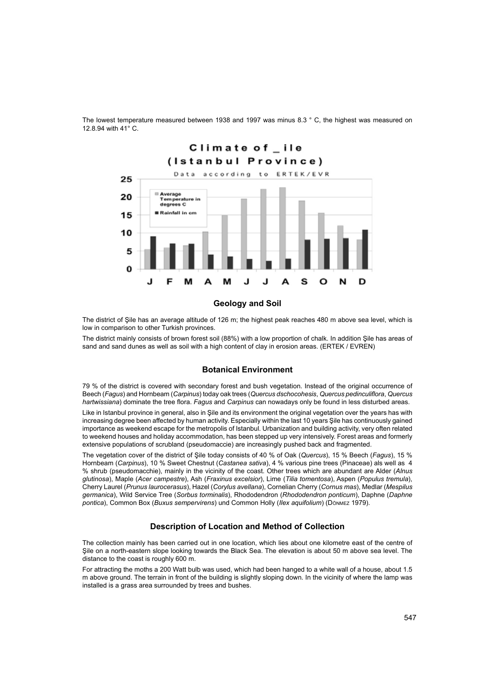

The lowest temperature measured between 1938 and 1997 was minus 8.3 ° C, the highest was measured on 12.8.94 with 41° C.

The district of Şile has an average altitude of 126 m; the highest peak reaches 480 m above sea level, which is low in comparison to other Turkish provinces.

The district mainly consists of brown forest soil (88%) with a low proportion of chalk. In addition Şile has areas of sand and sand dunes as well as soil with a high content of clay in erosion areas. (ERTEK / EVREN)

## **Botanical Environment**

79 % of the district is covered with secondary forest and bush vegetation. Instead of the original occurrence of Beech (*Fagus*) and Hornbeam (*Carpinus*) today oak trees (*Quercus dschocohesis*, *Quercus pedinculiflora*, *Quercus hartwissiana*) dominate the tree flora. *Fagus* and *Carpinus* can nowadays only be found in less disturbed areas.

Like in Istanbul province in general, also in Şile and its environment the original vegetation over the years has with increasing degree been affected by human activity. Especially within the last 10 years Şile has continuously gained importance as weekend escape for the metropolis of Istanbul. Urbanization and building activity, very often related to weekend houses and holiday accommodation, has been stepped up very intensively. Forest areas and formerly extensive populations of scrubland (pseudomaccie) are increasingly pushed back and fragmented.

The vegetation cover of the district of Şile today consists of 40 % of Oak (*Quercus*), 15 % Beech (*Fagus*), 15 % Hornbeam (*Carpinus*), 10 % Sweet Chestnut (*Castanea sativa*), 4 % various pine trees (Pinaceae) als well as 4 % shrub (pseudomacchie), mainly in the vicinity of the coast. Other trees which are abundant are Alder (*Alnus glutinosa*), Maple (*Acer campestre*), Ash (*Fraxinus excelsior*), Lime (*Tilia tomentosa*), Aspen (*Populus tremula*), Cherry Laurel (*Prunus laurocerasus*), Hazel (*Corylus avellana*), Cornelian Cherry (*Cornus mas*), Medlar (*Mespilus germanica*), Wild Service Tree (*Sorbus torminalis*), Rhododendron (*Rhododendron ponticum*), Daphne (*Daphne pontica*), Common Box (*Buxus sempervirens*) und Common Holly (*Ilex aquifolium*) (Dönmez 1979).

## **Description of Location and Method of Collection**

The collection mainly has been carried out in one location, which lies about one kilometre east of the centre of Şile on a north-eastern slope looking towards the Black Sea. The elevation is about 50 m above sea level. The distance to the coast is roughly 600 m.

For attracting the moths a 200 Watt bulb was used, which had been hanged to a white wall of a house, about 1.5 m above ground. The terrain in front of the building is slightly sloping down. In the vicinity of where the lamp was installed is a grass area surrounded by trees and bushes.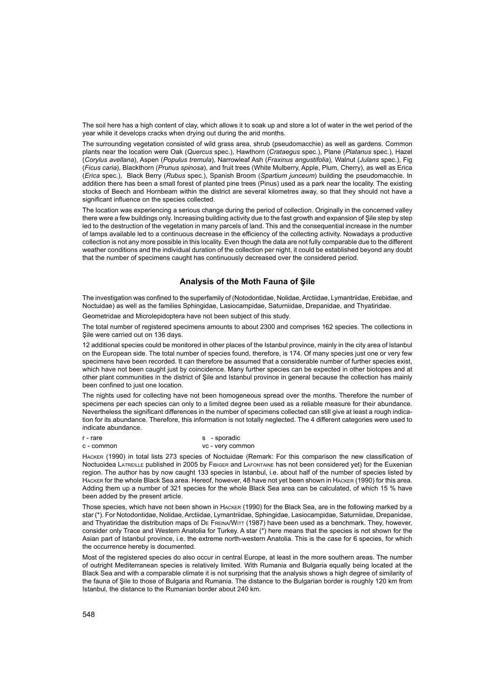The soil here has a high content of clay, which allows it to soak up and store a lot of water in the wet period of the year while it develops cracks when drying out during the arid months.

The surrounding vegetation consisted of wild grass area, shrub (pseudomacchie) as well as gardens. Common plants near the location were Oak (*Quercus* spec.), Hawthorn (*Crataegus* spec.), Plane (*Platanus* spec.), Hazel (*Corylus avellana*), Aspen (*Populus tremula*), Narrowleaf Ash (*Fraxinus angustifolia*), Walnut (*Julans* spec.), Fig (*Ficus caria*), Blackthorn (*Prunus spinosa*), and fruit trees (White Mulberry, Apple, Plum, Cherry), as well as Erica (*Erica* spec.), Black Berry (*Rubus* spec.), Spanish Broom (*Spartium junceum*) building the pseudomacchie. In addition there has been a small forest of planted pine trees (Pinus) used as a park near the locality. The existing stocks of Beech and Hornbeam within the district are several kilometres away, so that they should not have a significant influence on the species collected.

The location was experiencing a serious change during the period of collection. Originally in the concerned valley there were a few buildings only. Increasing building activity due to the fast growth and expansion of Şile step by step led to the destruction of the vegetation in many parcels of land. This and the consequential increase in the number of lamps available led to a continuous decrease in the efficiency of the collecting activity. Nowadays a productive collection is not any more possible in this locality. Even though the data are not fully comparable due to the different weather conditions and the individual duration of the collection per night, it could be established beyond any doubt that the number of specimens caught has continuously decreased over the considered period.

## **Analysis of the Moth Fauna of Şile**

The investigation was confined to the superfamily of (Notodontidae, Nolidae, Arctiidae, Lymantriidae, Erebidae, and Noctuidae) as well as the families Sphingidae, Lasiocampidae, Saturniidae, Drepanidae, and Thyatiridae.

Geometridae and Microlepidoptera have not been subject of this study.

The total number of registered specimens amounts to about 2300 and comprises 162 species. The collections in Sile were carried out on 136 days.

12 additional species could be monitored in other places of the Istanbul province, mainly in the city area of Istanbul on the European side. The total number of species found, therefore, is 174. Of many species just one or very few specimens have been recorded. It can therefore be assumed that a considerable number of further species exist, which have not been caught just by coincidence. Many further species can be expected in other biotopes and at other plant communities in the district of Şile and Istanbul province in general because the collection has mainly been confined to just one location.

The nights used for collecting have not been homogeneous spread over the months. Therefore the number of specimens per each species can only to a limited degree been used as a reliable measure for their abundance. Nevertheless the significant differences in the number of specimens collected can still give at least a rough indication for its abundance. Therefore, this information is not totally neglected. The 4 different categories were used to indicate abundance.

### r - rare s - sporadic<br>c - common s - sporadic servicem vc - very common

Hacker (1990) in total lists 273 species of Noctuidae (Remark: For this comparison the new classification of Noctuoidea Latreille published in 2005 by Fibiger and Lafontaine has not been considered yet) for the Euxenian region. The author has by now caught 133 species in Istanbul, i.e. about half of the number of species listed by Hacker for the whole Black Sea area. Hereof, however, 48 have not yet been shown in Hacker (1990) for this area. Adding them up a number of 321 species for the whole Black Sea area can be calculated, of which 15 % have been added by the present article.

Those species, which have not been shown in Hacker (1990) for the Black Sea, are in the following marked by a star (\*). For Notodontidae, Nolidae, Arctiidae, Lymantriidae, Sphingidae, Lasiocampidae, Saturniidae, Drepanidae, and Thyatiridae the distribution maps of DE FREINA/WITT (1987) have been used as a benchmark. They, however, consider only Trace and Western Anatolia for Turkey. A star (\*) here means that the species is not shown for the Asian part of Istanbul province, i.e. the extreme north-western Anatolia. This is the case for 6 species, for which the occurrence hereby is documented.

Most of the registered species do also occur in central Europe, at least in the more southern areas. The number of outright Mediterranean species is relatively limited. With Rumania and Bulgaria equally being located at the Black Sea and with a comparable climate it is not surprising that the analysis shows a high degree of similarity of the fauna of Şile to those of Bulgaria and Rumania. The distance to the Bulgarian border is roughly 120 km from Istanbul, the distance to the Rumanian border about 240 km.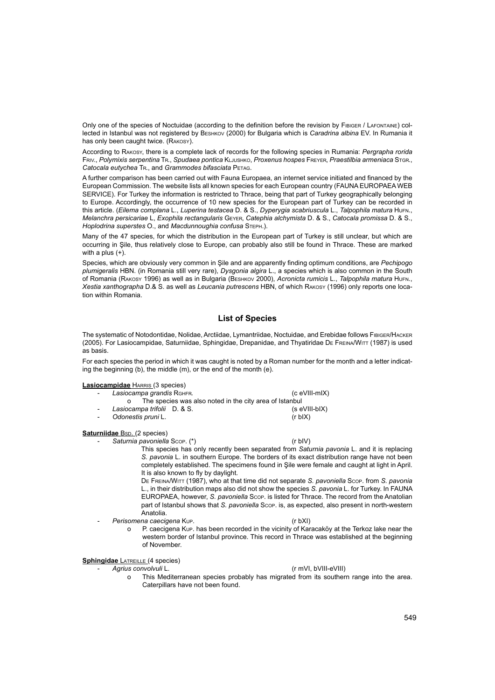Only one of the species of Noctuidae (according to the definition before the revision by Fibiger / Lafontaine) collected in Istanbul was not registered by Beshkov (2000) for Bulgaria which is *Caradrina albina* EV. In Rumania it has only been caught twice. (RАКОЗҮ).

According to Rakosy, there is a complete lack of records for the following species in Rumania: *Pergrapha rorida* Friv., *Polymixis serpentina* Tr., *Spudaea pontica* Kljushko, *Proxenus hospes* Freyer, *Praestilbia armeniaca* Stgr., *Catocala eutychea* Tr., and *Grammodes bifasciata* Petag.

A further comparison has been carried out with Fauna Europaea, an internet service initiated and financed by the European Commission. The website lists all known species for each European country (FAUNA EUROPAEA WEB SERVICE). For Turkey the information is restricted to Thrace, being that part of Turkey geographically belonging to Europe. Accordingly, the occurrence of 10 new species for the European part of Turkey can be recorded in this article. (*Eilema complana* L., *Luperina testacea* D. & S., *Dyperygia scabriuscula* L., *Talpophila matura* Hufn., *Melanchra persicariae* L, *Exophila rectangularis* Geyer, *Catephia alchymista* D. & S., *Catocala promissa* D. & S., *Hoplodrina superstes* O., and *Macdunnoughia confusa* Steph.).

Many of the 47 species, for which the distribution in the European part of Turkey is still unclear, but which are occurring in Şile, thus relatively close to Europe, can probably also still be found in Thrace. These are marked with a plus (+).

Species, which are obviously very common in Şile and are apparently finding optimum conditions, are *Pechipogo plumigeralis* HBN. (in Romania still very rare), *Dysgonia algira* L., a species which is also common in the South of Romania (Rakosy 1996) as well as in Bulgaria (Beshkov 2000), *Acronicta rumicis* L., *Talpophila matura* Hufn., *Xestia xanthographa* D.& S. as well as *Leucania putrescens* HBN, of which Rakosy (1996) only reports one location within Romania.

## **List of Species**

The systematic of Notodontidae, Nolidae, Arctiidae, Lymantriidae, Noctuidae, and Erebidae follows Fibiger/Hacker (2005). For Lasiocampidae, Saturniidae, Sphingidae, Drepanidae, and Thyatiridae De Freina/Witt (1987) is used as basis.

For each species the period in which it was caught is noted by a Roman number for the month and a letter indicating the beginning (b), the middle (m), or the end of the month (e).

## **Lasiocampidae** HARRIS (3 species)

- Lasiocampa grandis RGHFR. (c eVIII-mIX)
- o The species was also noted in the city area of Istanbul<br>ocampa trifolii D. & S. (seVIII-bIX)
- Lasiocampa trifolii D. & S.
- *Odonestis pruni* L. (r bIX)

## **Saturniidae** Bsp. (2 species)

- *Saturnia pavoniella* Scop. (\*) (r bIV)

This species has only recently been separated from *Saturnia pavonia* L. and it is replacing *S. pavonia* L. in southern Europe. The borders of its exact distribution range have not been completely established. The specimens found in Şile were female and caught at light in April. It is also known to fly by daylight.

De Freina/Witt (1987), who at that time did not separate *S. pavoniella* Scop. from *S. pavonia* L., in their distribution maps also did not show the species *S. pavonia* L. for Turkey. In FAUNA EUROPAEA, however, *S. pavoniella* Scop. is listed for Thrace. The record from the Anatolian part of Istanbul shows that *S. pavoniella* Scop. is, as expected, also present in north-western Anatolia.

- *Perisomena caecigena* Kup. (r bXI)

o P. caecigena Kup. has been recorded in the vicinity of Karacaköy at the Terkoz lake near the western border of Istanbul province. This record in Thrace was established at the beginning of November.

## **Sphingidae** LATREILLE (4 species)

- *Agrius convolvuli* L. (r mVI, bVIII-eVIII)

o This Mediterranean species probably has migrated from its southern range into the area. Caterpillars have not been found.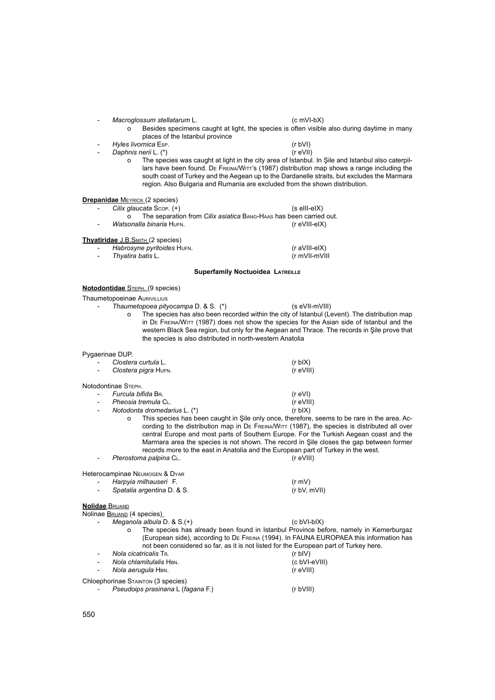## - *Macroglossum stellatarum* L. (c mVI-bX)

- o Besides specimens caught at light, the species is often visible also during daytime in many places of the Istanbul province
- *Hyles livornica* Esp. (r bVI) *Daphnis nerii* L. (\*)

o The species was caught at light in the city area of Istanbul. In Şile and Istanbul also caterpillars have been found. De FREINA/WITT's (1987) distribution map shows a range including the south coast of Turkey and the Aegean up to the Dardanelle straits, but excludes the Marmara region. Also Bulgaria and Rumania are excluded from the shown distribution.

### **Drepanidae** MEYRICK (2 species)

- $C$ *ilix glaucata*  $S$ cop. (+) (s eIII-eIX) o The separation from *Cilix asiatica* Bang-Haas has been carried out.<br>Sonalla binaria Hurn.
- **Watsonalla binaria HuFN.**

## **Thyatiridae** J.B.SMITH (2 species)

| - | Habrosyne pyritoides HuFN. | (r aVIII-eIX) |
|---|----------------------------|---------------|
| - | Thyatira batis L.          | (r mVII-mVIII |

### **Superfamily Noctuoidea LATREILLE**

## **Notodontidae** STEPH. (9 species)

### Thaumetopoeinae AURIVILLIUS

- *Thaumetopoea pityocampa* D. & S. (\*) (s eVII-mVIII)
	-
	- o The species has also been recorded within the city of Istanbul (Levent). The distribution map in De Freina/Witt (1987) does not show the species for the Asian side of Istanbul and the western Black Sea region, but only for the Aegean and Thrace. The records in Şile prove that the species is also distributed in north-western Anatolia

### Pygaerinae DUP.

| Clostera curtula L.  | $(r b X)$   |
|----------------------|-------------|
| Clostera pigra HUFN. | (r eVIII)   |
| Notodontinae STEPH.  |             |
| Furcula bifida BR.   | (r eVI)     |
| Pheosia tremula CL.  | $(r$ eVIII) |

- *Notodonta dromedarius* L. (\*) (r bIX)
	- o This species has been caught in Şile only once, therefore, seems to be rare in the area. According to the distribution map in DE FREINA/WITT (1987), the species is distributed all over central Europe and most parts of Southern Europe. For the Turkish Aegean coast and the Marmara area the species is not shown. The record in Şile closes the gap between former records more to the east in Anatolia and the European part of Turkey in the west.
- Pterostoma palpina C<sub>L</sub>. *Pterostoma palpina CL. Pterostoma palpina CL.*

## Heterocampinae Neumogen & Dyar

| $\overline{\phantom{0}}$ | Harpyia milhauseri F.      | (r mV)       |
|--------------------------|----------------------------|--------------|
| $\overline{\phantom{a}}$ | Spatalia argentina D. & S. | (r bV, mVII) |

### **Nolidae** Bruand

Nolinae BRUAND (4 species)

- *Meganola albula* D. & S.(+) (c bVI-bIX)
	- o The species has already been found in Istanbul Province before, namely in Kemerburgaz (European side), according to De Freina (1994). In FAUNA EUROPAEA this information has not been considered so far, as it is not listed for the European part of Turkey here.

| Nola cicatricalis TR.<br>$\overline{a}$     | (r bIV)       |
|---------------------------------------------|---------------|
| Nola chlamitulalis HBN.                     | (c bVI-eVIII) |
| Nola aerugula HBN.<br>$\sim$                | $(r$ eVIII)   |
| Chloephorinae STAINTON (3 species)          |               |
| Pseudoips prasinana L (fagana F.)<br>$\sim$ | (r bVIII)     |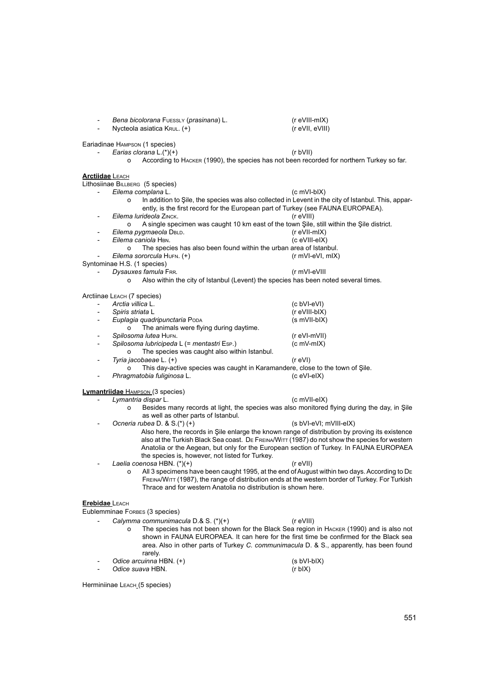|                          | Bena bicolorana FUESSLY (prasinana) L.<br>Nycteola asiatica KRUL. (+)                                                                                                                        | (r eVIII-mIX)<br>(r eVII, eVIII) |
|--------------------------|----------------------------------------------------------------------------------------------------------------------------------------------------------------------------------------------|----------------------------------|
|                          | Eariadinae HAMPSON (1 species)                                                                                                                                                               |                                  |
|                          | Earias clorana $L$ .(*)(+)                                                                                                                                                                   | (r bVII)                         |
|                          | According to HACKER (1990), the species has not been recorded for northern Turkey so far.<br>o                                                                                               |                                  |
| <b>Arctiidae</b> LEACH   |                                                                                                                                                                                              |                                  |
|                          | Lithosiinae BILLBERG (5 species)                                                                                                                                                             |                                  |
|                          | Eilema complana L.                                                                                                                                                                           | $(c \text{ mVI-bIX})$            |
|                          | In addition to Sile, the species was also collected in Levent in the city of Istanbul. This, appar-<br>o<br>ently, is the first record for the European part of Turkey (see FAUNA EUROPAEA). |                                  |
| $\overline{\phantom{0}}$ | Eilema lurideola ZINCK.                                                                                                                                                                      | (r eVIII)                        |
|                          | A single specimen was caught 10 km east of the town Şile, still within the Şile district.<br>o                                                                                               |                                  |
| $\overline{\phantom{0}}$ | Eilema pygmaeola DBLD.                                                                                                                                                                       | $(r$ eVII-mIX)                   |
| $\overline{\phantom{0}}$ | Eilema caniola HBN.                                                                                                                                                                          | (c eVIII-eIX)                    |
|                          | The species has also been found within the urban area of Istanbul.<br>$\Omega$                                                                                                               |                                  |
|                          | Eilema sororcula HUFN. (+)                                                                                                                                                                   | (r mVI-eVI, mIX)                 |
|                          | Syntominae H.S. (1 species)<br>Dysauxes famula FRR.                                                                                                                                          | (r mVI-eVIII                     |
|                          | Also within the city of Istanbul (Levent) the species has been noted several times.<br>o                                                                                                     |                                  |
|                          |                                                                                                                                                                                              |                                  |
|                          | Arctiinae LEACH (7 species)                                                                                                                                                                  |                                  |
| $\overline{\phantom{0}}$ | Arctia villica L.                                                                                                                                                                            | (c bVI-eVI)                      |
| $\overline{\phantom{a}}$ | Spiris striata L                                                                                                                                                                             | (r eVIII-bIX)                    |
| $\overline{\phantom{0}}$ | Euplagia quadripunctaria PODA                                                                                                                                                                | (s mVII-bIX)                     |
|                          | The animals were flying during daytime.<br>O                                                                                                                                                 |                                  |
| $\overline{\phantom{0}}$ | Spilosoma lutea HUFN.                                                                                                                                                                        | (r eVI-mVII)                     |
| $\overline{\phantom{0}}$ | Spilosoma lubricipeda L (= mentastri Esp.)                                                                                                                                                   | $(c mV-mIX)$                     |
|                          | The species was caught also within Istanbul.<br>O                                                                                                                                            |                                  |
|                          | Tyria jacobaeae L. (+)                                                                                                                                                                       | (r eVI)                          |
|                          | This day-active species was caught in Karamandere, close to the town of Şile.                                                                                                                | (c eVI-eIX)                      |
| -                        | Phragmatobia fuliginosa L.                                                                                                                                                                   |                                  |
|                          | <b>Lymantriidae</b> HAMPSON (3 species)                                                                                                                                                      |                                  |
|                          | Lymantria dispar L.                                                                                                                                                                          | (c mVII-eIX)                     |
|                          | Besides many records at light, the species was also monitored flying during the day, in Şile<br>o<br>as well as other parts of Istanbul.                                                     |                                  |
|                          | Ocneria rubea D. & S.(*)(+)                                                                                                                                                                  | (s bVI-eVI; mVIII-eIX)           |
|                          | Also here, the records in Şile enlarge the known range of distribution by proving its existence                                                                                              |                                  |
|                          | also at the Turkish Black Sea coast. DE FREINA/WITT (1987) do not show the species for western                                                                                               |                                  |
|                          | Anatolia or the Aegean, but only for the European section of Turkey. In FAUNA EUROPAEA                                                                                                       |                                  |
|                          | the species is, however, not listed for Turkey.                                                                                                                                              |                                  |
|                          | Laelia coenosa HBN. (*)(+)                                                                                                                                                                   | (r eVII)                         |
|                          | All 3 specimens have been caught 1995, at the end of August within two days. According to DE<br>o                                                                                            |                                  |
|                          | FREINA/WITT (1987), the range of distribution ends at the western border of Turkey. For Turkish                                                                                              |                                  |
|                          | Thrace and for western Anatolia no distribution is shown here.                                                                                                                               |                                  |
| <b>Erebidae LEACH</b>    |                                                                                                                                                                                              |                                  |
|                          | Eublemminae FORBES (3 species)                                                                                                                                                               |                                  |
|                          | Calymma communimacula D.& S. (*)(+)                                                                                                                                                          | $(r$ eVIII)                      |
|                          | The species has not been shown for the Black Sea region in HACKER (1990) and is also not<br>o                                                                                                |                                  |
|                          | shown in FAUNA EUROPAEA. It can here for the first time be confirmed for the Black sea                                                                                                       |                                  |
|                          | area. Also in other parts of Turkey C. communimacula D. & S., apparently, has been found                                                                                                     |                                  |
|                          | rarely.                                                                                                                                                                                      |                                  |
|                          | Odice arcuinna HBN. (+)                                                                                                                                                                      | $(s bVI-bIX)$                    |
|                          | Odice suava HBN.                                                                                                                                                                             | $(r b IX)$                       |

Herminiinae LEACH\_(5 species)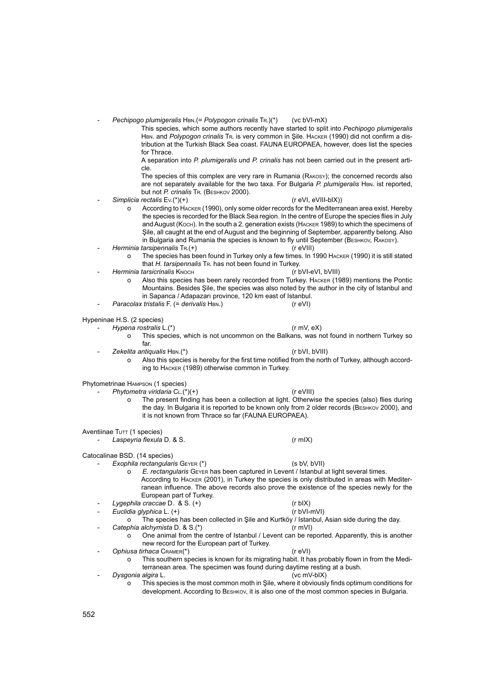*Pechipogo plumigeralis* HBN.(= *Polypogon crinalis* TR.)(\*) (vc bVI-mX)

This species, which some authors recently have started to split into *Pechipogo plumigeralis* Hbn. and *Polypogon crinalis* Tr. is very common in Şile. Hacker (1990) did not confirm a distribution at the Turkish Black Sea coast. FAUNA EUROPAEA, however, does list the species for Thrace.

A separation into *P. plumigeralis* und *P. crinalis* has not been carried out in the present article.

The species of this complex are very rare in Rumania (Rakosy); the concerned records also are not separately available for the two taxa. For Bulgaria *P. plumigeralis* HBN. ist reported, but not *P. crinalis* Tr. (Beshkov 2000).

Simplicia rectalis Ev.(\*)(+) (r eVI, eVIII-bIX))

- o According to Hacker (1990), only some older records for the Mediterranean area exist. Hereby the species is recorded for the Black Sea region. In the centre of Europe the species flies in July and August (Koch). In the south a 2. generation exists (Hacker 1989) to which the specimens of Şile, all caught at the end of August and the beginning of September, apparently belong. Also In Bulgaria and Rumania the species is known to fly until September (BESHKOV, RAKOSY).
- Herminia tarsipennalis TR.(+) (r eVIII)
	- The species has been found in Turkey only a few times. In 1990 HACKER (1990) it is still stated that *H. tarsipennalis* Tr. has not been found in Turkey.
	- **Herminia tarsicrinalis KNOCH** 
		- o Also this species has been rarely recorded from Turkey. Hacker (1989) mentions the Pontic Mountains. Besides Şile, the species was also noted by the author in the city of Istanbul and in Sapanca / Adapazarı province, 120 km east of Istanbul.<br>  $k$  tristalis F (= derivalis HBN) (r eVI)
	- *Paracolax tristalis* **F.** (= *derivalis* HBN.)

Hypeninae H.S. (2 species)

- *Hypena rostralis* L.(\*) (r mV, eX)
	- o This species, which is not uncommon on the Balkans, was not found in northern Turkey so far.
- *Zekelita antiqualis* Hbn.(\*) (r bVI, bVIII)
	- o Also this species is hereby for the first time notified from the north of Turkey, although according to Hacker (1989) otherwise common in Turkey.

Phytometrinae Hampson (1 species)

- Phytometra viridaria C<sub>L</sub>(\*)(+) (r eVIII)
	- o The present finding has been a collection at light. Otherwise the species (also) flies during the day. In Bulgaria it is reported to be known only from 2 older records (BESHKOV 2000), and it is not known from Thrace so far (FAUNA EUROPAEA).

Aventiinae Tutt (1 species)

- *Laspeyria flexula* D. & S. (r mIX)

Catocalinae BSD. (14 species)

- *Exophila rectangularis* Geyer (\*) (s bV, bVII)
	- o *E. rectangularis* Geyer has been captured in Levent / Istanbul at light several times. According to Hacker (2001), in Turkey the species is only distributed in areas with Mediterranean influence. The above records also prove the existence of the species newly for the European part of Turkey. *Lygephila craccae* D. & S. (+) (r bIX) (r bIX)<br> *Euclidia glyphica* L. (+) (r bVI-mVI)
	-
	- *Euclidia glyphica* L. (+)
	- o The species has been collected in Şile and Kurtköy / Istanbul, Asian side during the day. - *Catephia alchymista* D. & S.(\*) (r mVI)
		- o One animal from the centre of Istanbul / Levent can be reported. Apparently, this is another new record for the European part of Turkey.
	- *Ophiusa tirhaca* Cramer(\*) (r eVI)
		- o This southern species is known for its migrating habit. It has probably flown in from the Mediterranean area. The specimen was found during daytime resting at a bush.
	- *Dysgonia algira* L. (vc mV-bIX)
		- o This species is the most common moth in Şile, where it obviously finds optimum conditions for development. According to Beshkov, it is also one of the most common species in Bulgaria.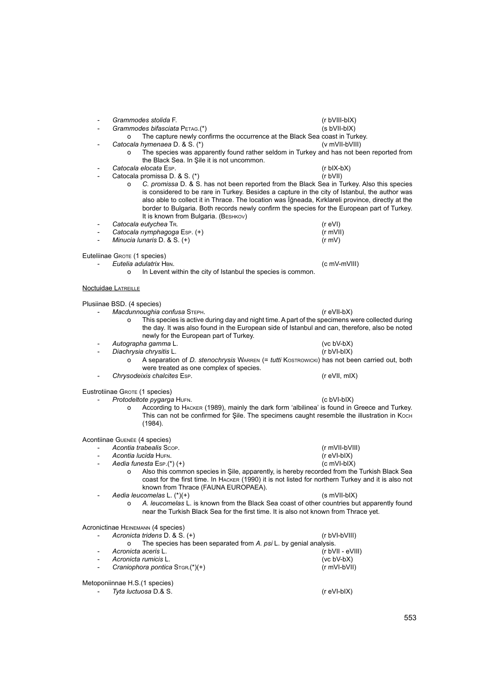- *Grammodes stolida* F. (r bVIII-bIX) - *Grammodes bifasciata* Petag.(\*) (s bVII-bIX) o The capture newly confirms the occurrence at the Black Sea coast in Turkey.<br>cala hymenaea D. & S. (\*) (v mVII-bVIII) Catocala hymenaea D. & S. (\*) o The species was apparently found rather seldom in Turkey and has not been reported from the Black Sea. In Şile it is not uncommon. - *Catocala elocata* Esp. (r bIX-bX) Catocala promissa D. & S. (\*) o *C. promissa* D. & S. has not been reported from the Black Sea in Turkey. Also this species is considered to be rare in Turkey. Besides a capture in the city of Istanbul, the author was also able to collect it in Thrace. The location was İğneada, Kırklareli province, directly at the border to Bulgaria. Both records newly confirm the species for the European part of Turkey. It is known from Bulgaria. (Везнкоv) - *Catocala eutychea* Tr. (r eVI) - *Catocala nymphagoga* Esp. (+) (r mVII) *Minucia lunaris* D. & S. (+) Euteliinae GROTE (1 species) - *Eutelia adulatrix* Hbn. (c mV-mVIII) o In Levent within the city of Istanbul the species is common. Noctuidae LATREILLE Plusiinae BSD. (4 species) - *Macdunnoughia confusa* Steph. (r eVII-bX) o This species is active during day and night time. A part of the specimens were collected during the day. It was also found in the European side of Istanbul and can, therefore, also be noted newly for the European part of Turkey. - *Autographa gamma* L. (vc bV-bX) Diachrysia chrysitis L. o A separation of *D. stenochrysis* Warren (= *tutti* Kostrowicki) has not been carried out, both were treated as one complex of species. - *Chrysodeixis chalcites* Esp. (r eVII, mIX) Eustrotiinae GROTE (1 species) Protodeltote pygarga HuFN. (c bVI-bIX) o According to Hacker (1989), mainly the dark form 'albilinea' is found in Greece and Turkey. This can not be confirmed for Şile. The specimens caught resemble the illustration in Koch (1984). Acontiinae Guenée (4 species) - *Acontia trabealis* Scop. (r mVII-bVIII) - *Acontia lucida* Hufn. (r eVI-bIX) **Aedia funesta Esp.(\*) (+)**<br>Also this comm Also this common species in Sile, apparently, is hereby recorded from the Turkish Black Sea coast for the first time. In Hacker (1990) it is not listed for northern Turkey and it is also not known from Thrace (FAUNA EUROPAEA). Aedia leucomelas L. (\*)(+) (s mVII-bIX) o *A. leucomelas* L. is known from the Black Sea coast of other countries but apparently found near the Turkish Black Sea for the first time. It is also not known from Thrace yet. Acronictinae Heinemann (4 species) - *Acronicta tridens* D. & S. (+) (r bVI-bVIII) o The species has been separated from *A. psi* L. by genial analysis. - *Acronicta aceris* L. (r bVII - eVIII) - *Acronicta rumicis* L. (vc bV-bX) Craniophora pontica S<sub>TGR.</sub>(\*)(+) Metoponiinnae H.S.(1 species) - *Tyta luctuosa* D.& S. (r eVI-bIX)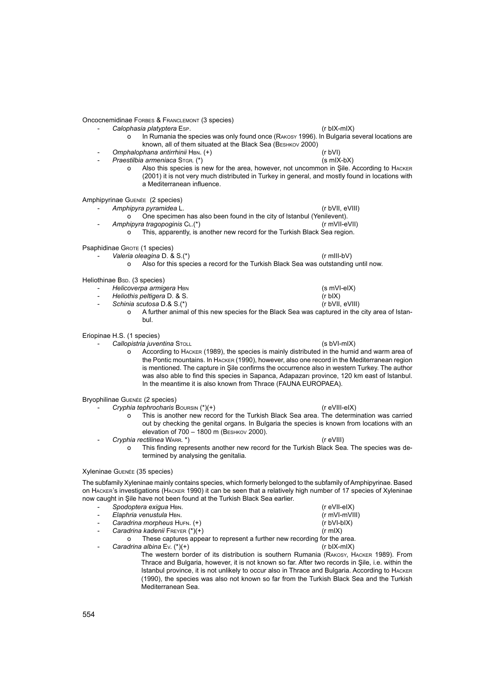Oncocnemidinae Forbes & Franclemont (3 species)

- *Calophasia platyptera* Esp. (r bIX-mIX)
	- o In Rumania the species was only found once (Rakosy 1996). In Bulgaria several locations are known, all of them situated at the Black Sea (Beshkov 2000)
- *Omphalophana antirrhinii* Hbn. (+) (r bVI)
	- Praestilbia armeniaca S<sub>TGR.</sub> (\*) (s mIX-bX)
		- o Also this species is new for the area, however, not uncommon in Şile. According to Hacker (2001) it is not very much distributed in Turkey in general, and mostly found in locations with a Mediterranean influence.

Amphipyrinae Guenée (2 species)

- *Amphipyra pyramidea* L. (r bVII, eVIII)
	-
	- o One specimen has also been found in the city of Istanbul (Yenilevent).<br>hipyra tragopoginis CL.(\*) (rmVII-eVII)
	- Amphipyra tragopoginis C<sub>L</sub>(\*)
		- o This, apparently, is another new record for the Turkish Black Sea region.

Psaphidinae GROTE (1 species)

- Valeria oleagina D. & S.<sup>(\*)</sup> (r mIII-bV)
	- o Also for this species a record for the Turkish Black Sea was outstanding until now.

Heliothinae Bsp. (3 species)

- 11 *Helicoverpa armigera* HBN (s mVI-eIX)<br>11 *Heliothis peltigera* D. & S. (r bIX)
- 
- *Heliothis peltigera* D. & S. (r bIX) - *Schinia scutosa* D.& S.<sup>(\*)</sup>
- - o A further animal of this new species for the Black Sea was captured in the city area of Istanbul.

Eriopinae H.S. (1 species)

- *Callopistria juventina* Stoll (s bVI-mIX)

o According to Hacker (1989), the species is mainly distributed in the humid and warm area of the Pontic mountains. In Hacker (1990), however, also one record in the Mediterranean region is mentioned. The capture in Şile confirms the occurrence also in western Turkey. The author was also able to find this species in Sapanca, Adapazarı province, 120 km east of Istanbul. In the meantime it is also known from Thrace (FAUNA EUROPAEA).

Bryophilinae Guenée (2 species)

- *Cryphia tephrocharis* Boursin (\*)(+) (r eVIII-eIX) o This is another new record for the Turkish Black Sea area. The determination was carried out by checking the genital organs. In Bulgaria the species is known from locations with an elevation of 700 – 1800 m (Beshkov 2000).
- *Cryphia rectilinea* Warr. \*) (r eVIII) o This finding represents another new record for the Turkish Black Sea. The species was determined by analysing the genitalia.

## Xyleninae Guenée (35 species)

The subfamily Xyleninae mainly contains species, which formerly belonged to the subfamily of Amphipyrinae. Based on Hacker's investigations (Hacker 1990) it can be seen that a relatively high number of 17 species of Xyleninae now caught in Şile have not been found at the Turkish Black Sea earlier.

| $\overline{\phantom{a}}$ | Spodoptera exigua HBN.                                                   | (r eVII-eIX)            |
|--------------------------|--------------------------------------------------------------------------|-------------------------|
| $\overline{\phantom{a}}$ | Elaphria venustula HBN.                                                  | $(r \text{ mV}$ -mVIII) |
|                          | Caradrina morpheus HUFN. (+)                                             | $(r bVI-bIX)$           |
|                          | Caradrina kadenii FREYER (*)(+)                                          | $(r \text{ m}   X)$     |
|                          | These captures appear to represent a further new recording for the area. |                         |

- *Caradrina albina* Ev. (\*)(+) (r bIX-mIX)

The western border of its distribution is southern Rumania (Rakosy, Hacker 1989). From Thrace and Bulgaria, however, it is not known so far. After two records in Şile, i.e. within the Istanbul province, it is not unlikely to occur also in Thrace and Bulgaria. According to Hacker (1990), the species was also not known so far from the Turkish Black Sea and the Turkish Mediterranean Sea.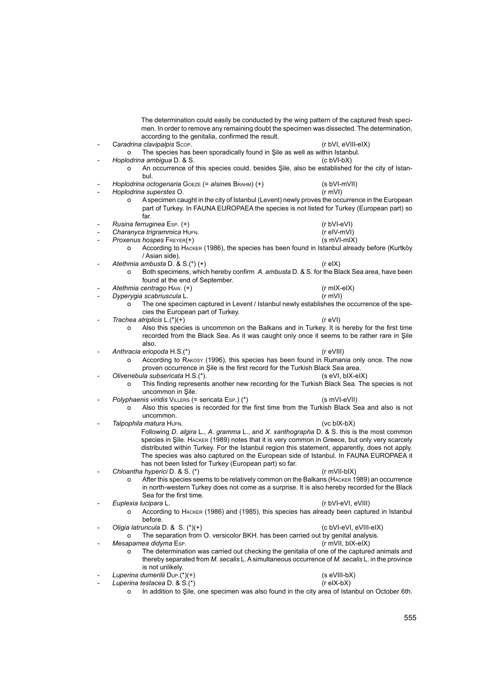|                          | according to the genitalia, confirmed the result.                                  | The determination could easily be conducted by the wing pattern of the captured fresh speci-<br>men. In order to remove any remaining doubt the specimen was dissected. The determination,  |
|--------------------------|------------------------------------------------------------------------------------|---------------------------------------------------------------------------------------------------------------------------------------------------------------------------------------------|
|                          | Caradrina clavipalpis Scop.                                                        | (r bVI, eVIII-eIX)                                                                                                                                                                          |
|                          | The species has been sporadically found in Şile as well as within Istanbul.<br>0   |                                                                                                                                                                                             |
|                          | Hoplodrina ambigua D. & S.                                                         | (c bVI-bX)<br>An occurrence of this species could, besides Şile, also be established for the city of Istan-                                                                                 |
|                          | bul.                                                                               |                                                                                                                                                                                             |
|                          | Hoplodrina octogenaria GOEZE (= alsines ВRAHM) (+)                                 | (s bVI-mVII)                                                                                                                                                                                |
| $\overline{\phantom{a}}$ | Hoplodrina superstes O.                                                            | $(r \text{ mVl})$                                                                                                                                                                           |
|                          | o<br>far.                                                                          | A specimen caught in the city of Istanbul (Levent) newly proves the occurrence in the European<br>part of Turkey. In FAUNA EUROPAEA the species is not listed for Turkey (European part) so |
|                          | Rusina ferruginea Esp. (+)                                                         | (r bVI-eVI)                                                                                                                                                                                 |
| $\overline{\phantom{a}}$ | Charanyca trigrammica HUFN.                                                        | (r elV-mVI)                                                                                                                                                                                 |
| $\overline{\phantom{0}}$ | Proxenus hospes FREYER(+)                                                          | $(s \text{ mVI-mIX})$                                                                                                                                                                       |
|                          | o<br>/ Asian side).                                                                | According to HACKER (1986), the species has been found in Istanbul already before (Kurtköy                                                                                                  |
|                          | Atethmia ambusta D. & S.(*)(+)                                                     | $(r \text{ el } X)$                                                                                                                                                                         |
|                          | o                                                                                  | Both specimens, which hereby confirm A. ambusta D. & S. for the Black Sea area, have been                                                                                                   |
|                          | found at the end of September.                                                     |                                                                                                                                                                                             |
|                          | Atethmia centrago HAW. (+)                                                         | $(r \text{ mIX-eIX})$                                                                                                                                                                       |
| $\overline{a}$           | Dyperygia scabriuscula L.<br>$\Omega$                                              | (r mV)<br>The one specimen captured in Levent / Istanbul newly establishes the occurrence of the spe-                                                                                       |
|                          | cies the European part of Turkey.                                                  |                                                                                                                                                                                             |
|                          | Trachea atriplicis $L^{(*)}(+)$                                                    | (r eVI)                                                                                                                                                                                     |
|                          | o                                                                                  | Also this species is uncommon on the Balkans and in Turkey. It is hereby for the first time                                                                                                 |
|                          |                                                                                    | recorded from the Black Sea. As it was caught only once it seems to be rather rare in Şile                                                                                                  |
|                          | also.                                                                              |                                                                                                                                                                                             |
|                          | Anthracia eriopoda H.S.(*)                                                         | $(r$ eVIII)                                                                                                                                                                                 |
|                          | o<br>proven occurrence in Sile is the first record for the Turkish Black Sea area. | According to RAKOSY (1996), this species has been found in Rumania only once. The now                                                                                                       |
|                          | Olivenebula subsericata H.S.(*).                                                   | (s eVI, bIX-eIX)                                                                                                                                                                            |
|                          | o                                                                                  | This finding represents another new recording for the Turkish Black Sea. The species is not                                                                                                 |
|                          | uncommon in Şile.                                                                  |                                                                                                                                                                                             |
|                          | Polyphaenis viridis VILLERS (= sericata Esp.) (*)                                  | (s mVI-eVII)                                                                                                                                                                                |
|                          | O<br>uncommon.                                                                     | Also this species is recorded for the first time from the Turkish Black Sea and also is not                                                                                                 |
|                          | Talpophila matura HUFN.                                                            | $(vc blX-bX)$                                                                                                                                                                               |
|                          |                                                                                    | Following D. algira L., A. gramma L., and X. xanthographa D. & S. this is the most common                                                                                                   |
|                          |                                                                                    | species in Şile. HACKER (1989) notes that it is very common in Greece, but only very scarcely                                                                                               |
|                          |                                                                                    | distributed within Turkey. For the Istanbul region this statement, apparently, does not apply.<br>The species was also captured on the European side of Istanbul. In FAUNA EUROPAEA it      |
|                          | has not been listed for Turkey (European part) so far.                             |                                                                                                                                                                                             |
|                          | Chloantha hyperici D. & S. (*)                                                     | $(r \text{ mVII-bIX})$                                                                                                                                                                      |
|                          | o                                                                                  | After this species seems to be relatively common on the Balkans (HACKER 1989) an occurrence                                                                                                 |
|                          |                                                                                    | in north-western Turkey does not come as a surprise. It is also hereby recorded for the Black                                                                                               |
|                          | Sea for the first time.                                                            |                                                                                                                                                                                             |
|                          | Euplexia lucipara L.                                                               | (r bVI-eVI, eVIII)                                                                                                                                                                          |
|                          | o                                                                                  | According to HACKER (1986) and (1985), this species has already been captured in Istanbul                                                                                                   |
|                          | before.                                                                            |                                                                                                                                                                                             |
|                          | Oligia latruncula D. & S. (*)(+)                                                   | (c bVI-eVI, eVIII-eIX)                                                                                                                                                                      |
|                          | The separation from O. versicolor BKH. has been carried out by genital analysis.   |                                                                                                                                                                                             |
|                          | Mesapamea didyma Esp.                                                              | (r mVII, bIX-eIX)                                                                                                                                                                           |
|                          | o                                                                                  | The determination was carried out checking the genitalia of one of the captured animals and                                                                                                 |
|                          | is not unlikely.                                                                   | thereby separated from M. secalis L. A simultaneous occurrence of M. secalis L. in the province                                                                                             |
|                          | Luperina dumerilii Dup.(*)(+)                                                      | (s eVIII-bX)                                                                                                                                                                                |
|                          | Luperina testacea D. & S.(*)                                                       | $(r$ elX-bX $)$                                                                                                                                                                             |
|                          |                                                                                    |                                                                                                                                                                                             |

o In addition to Şile, one specimen was also found in the city area of Istanbul on October 6th.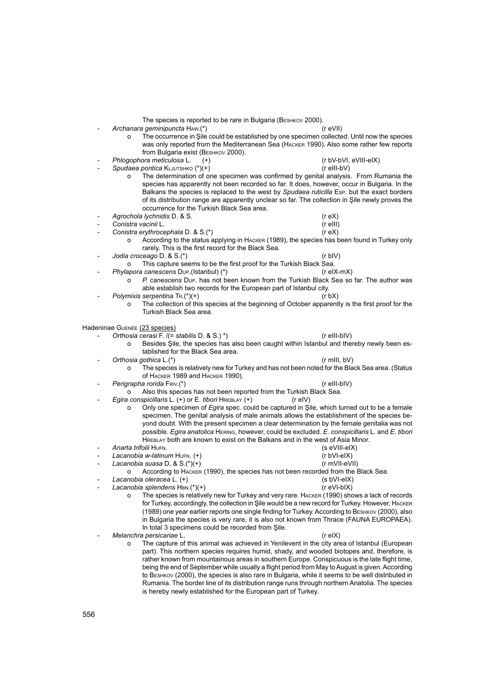The species is reported to be rare in Bulgaria (BESHKOV 2000).

- Archanara geminipuncta H<sub>AW</sub>.<sup>\*</sup>) (r eVII)
	- o The occurrence in Şile could be established by one specimen collected. Until now the species was only reported from the Mediterranean Sea (Hacker 1990). Also some rather few reports from Bulgaria exist (Везнком 2000).
- **Phlogophora meticulosa L.** (+) (r bV-bVI, eVIII-eIX) (r bV-bVI, eVIII-eIX) (r bV-bVI, eVIII-eIX) Spudaea pontica KLJUTSHKO (\*)(+)

- o The determination of one specimen was confirmed by genital analysis. From Rumania the species has apparently not been recorded so far. It does, however, occur in Bulgaria. In the Balkans the species is replaced to the west by *Spudaea ruticilla* Esp. but the exact borders of its distribution range are apparently unclear so far. The collection in Şile newly proves the occurrence for the Turkish Black Sea area.
- *Agrochola lychnidis* D. & S. (r eX)
- 
- *Conistra vacinii* L. (r eIII) *Conistra erythrocephala D. & S.(\*)* 
	- o According to the status applying in Hacker (1989), the species has been found in Turkey only rarely. This is the first record for the Black Sea.
- *Jodia croceago* D. & S.(\*) (r bIV)
	- o This capture seems to be the first proof for the Turkish Black Sea.<br>apora canescens Dup (Istanbul) (\*) (and the Turkish Black Sea.
	- Phylapora canescens Dup. (Istanbul) (\*)
		- o *P. canescens* Dup. has not been known from the Turkish Black Sea so far. The author was able establish two records for the European part of Istanbul city.
- Polymixis serpentina  $\text{Tr.}(\text{*})(+)$  (r bX)
	- o The collection of this species at the beginning of October apparently is the first proof for the Turkish Black Sea area.

Hadeninae Guenée (23 species)

- *Orthosia cerasi* F. /(= *stabilis* D. & S.) \*) (r eIII-bIV)
	- o Besides Sile, the species has also been caught within Istanbul and thereby newly been established for the Black Sea area.
- *Orthosia gothica* L.(\*) (r mIII, bV)
	- The species is relatively new for Turkey and has not been noted for the Black Sea area. (Status of Hacker 1989 and Hacker 1990).
- Perigrapha rorida Friv.<sup>(\*)</sup> (r eIII-bIV)
- o Also this species has not been reported from the Turkish Black Sea. - *Egira conspicillaris* L. (+) or E. *tibori* Hreblay (+) (r eIV)
	- o Only one specimen of *Egira* spec. could be captured in Şile, which turned out to be a female specimen. The genital analysis of male animals allows the establishment of the species beyond doubt. With the present specimen a clear determination by the female genitalia was not possible. *Egira anatolica* Hering, however, could be excluded. *E. conspicillaris* L. and *E. tibori*  Hreblay both are known to exist on the Balkans and in the west of Asia Minor.
- 
- *Anarta trifolii* Hufn. (s eVIII-eIX) - *Lacanobia w-latinum* Hufn. (+) (r bVI-eIX)
- - **Lacanobia suasa D. & S.(\*)(+)**<br>O **According to HACKER** According to HACKER (1990), the species has not been recorded from the Black Sea.<br>a oleracea L. (+) (s bVI-elX)
- 
- $\emph{Lacanobia oleracea L. (+)}$  (s bVI-eIX)<br>  $\emph{Lacanobia splendens HBN. (*) (+)}$  (r eVI-bIX) Lacanobia splendens HBN.<sup>(\*)</sup>(+)
	- o The species is relatively new for Turkey and very rare. Hacker (1990) shows a lack of records for Turkey, accordingly, the collection in Şile would be a new record for Turkey. However, Hacker (1989) one year earlier reports one single finding for Turkey. According to Beshkov (2000), also in Bulgaria the species is very rare, it is also not known from Thrace (FAUNA EUROPAEA). In total 3 specimens could be recorded from Şile.
- *Melanchra persicariae* L. (r eIX)
	- o The capture of this animal was achieved in Yenilevent in the city area of Istanbul (European part). This northern species requires humid, shady, and wooded biotopes and, therefore, is rather known from mountainous areas in southern Europe. Conspicuous is the late flight time, being the end of September while usually a flight period from May to August is given. According to Beshkov (2000), the species is also rare in Bulgaria, while it seems to be well distributed in Rumania. The border line of its distribution range runs through northern Anatolia. The species is hereby newly established for the European part of Turkey.

- 
-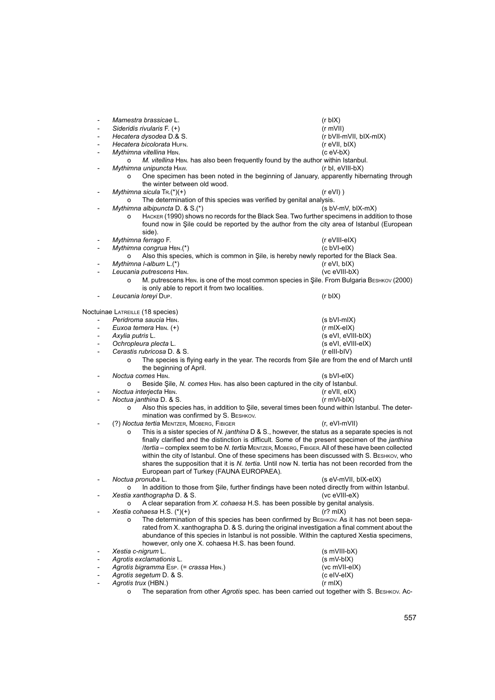- *Mamestra brassicae* L. (r bIX) - *Sideridis rivularis* F. (+) (r mVII) - *Hecatera dysodea* D.& S. (r bVII-mVII, bIX-mIX) - *Hecatera bicolorata* Hufn. (r eVII, bIX)  $Mvthimna$  *vitellina* HBN. o *M. vitellina* HBN. has also been frequently found by the author within Istanbul.<br>in (r bl, eVIII-bX) Mythimna unipuncta HAW. o One specimen has been noted in the beginning of January, apparently hibernating through the winter between old wood. *Mythimna sicula* Tr.(\*)(+) (r eVI) ) o The determination of this species was verified by genital analysis.<br>
limna albipuncta D. & S.<sup>(\*)</sup><br>
(s bV-mV. blX-mX) *Mythimna albipuncta* D. & S.<sup>(\*)</sup> o Hacker (1990) shows no records for the Black Sea. Two further specimens in addition to those found now in Sile could be reported by the author from the city area of Istanbul (European side). - *Mythimna ferrago* F. (r eVIII-eIX) - *Mythimna congrua* Hbn.(\*) (c bVI-eIX) o Also this species, which is common in Şile, is hereby newly reported for the Black Sea.<br>
imna l-album L.<sup>(\*)</sup><br>
(r eVI. blX) *Mythimna I-album* L.(\*) - *Leucania putrescens* Hbn. (vc eVIII-bX) o M. putrescens Hbn. is one of the most common species in Şile. From Bulgaria Beshkov (2000) is only able to report it from two localities. - *Leucania loreyi* Dup. (r bIX) Noctuinae LATREILLE (18 species) Peridroma saucia HBN. *Peridroma saucia HBN.* (s bVI-mIX) - *Euxoa temera* Hbn. (+) (r mIX-eIX) - *Axylia putris* L. (s eVI, eVIII-bIX) ـ *Ochropleura plecta* L. (s eVI, eVI)<br>Cerastis rubricosa D. & S. (r eIII-bIV) Cerastis rubricosa D. & S. o The species is flying early in the year. The records from Şile are from the end of March until the beginning of April. - *Noctua comes* Hbn. (s bVI-eIX) o Beside Şile, *N. comes* HBN. has also been captured in the city of Istanbul.<br>ua interjecta HBN. (reVII, eIX) - *Noctua interjecta* Hbn. (r eVII, eIX) *Noctua janthina* D. & S. o Also this species has, in addition to Şile, several times been found within Istanbul. The determination was confirmed by S. BESHKOV. - (?) *Noctua tertia* Mentzer, Moberg, Fibiger (r, eVI-mVII) o This is a sister species of *N. janthina* D & S., however, the status as a separate species is not finally clarified and the distinction is difficult. Some of the present specimen of the *janthina* /*tertia* – complex seem to be *N. tertia* Mentzer, Moberg, Fibiger. All of these have been collected within the city of Istanbul. One of these specimens has been discussed with S. BESHKOV, who shares the supposition that it is *N. tertia.* Until now N. tertia has not been recorded from the European part of Turkey (FAUNA EUROPAEA). - *Noctua pronuba* L. (s eV-mVII, bIX-eIX) o In addition to those from Şile, further findings have been noted directly from within Istanbul.<br>ia xanthographa D. & S. (vc eVIII-eX) *Xestia xanthographa* D. & S. o A clear separation from *X. cohaesa* H.S. has been possible by genital analysis.  $Xestia cohaesa H.S. (*)(+)$ o The determination of this species has been confirmed by Beshkov. As it has not been separated from X. xanthographa D. & S. during the original investigation a final comment about the abundance of this species in Istanbul is not possible. Within the captured Xestia specimens, however, only one X. cohaesa H.S. has been found. - *Xestia c-nigrum* L. (s mVIII-bX) - *Agrotis exclamationis* L. (s mV-bIX) Agrotis bigramma Esp. (= crassa HBN.) Agrotis segetum D. & S. (c eIV-eIX) Agrotis trux (HBN.) (r mIX) o The separation from other *Agrotis* spec. has been carried out together with S. Beshkov. Ac